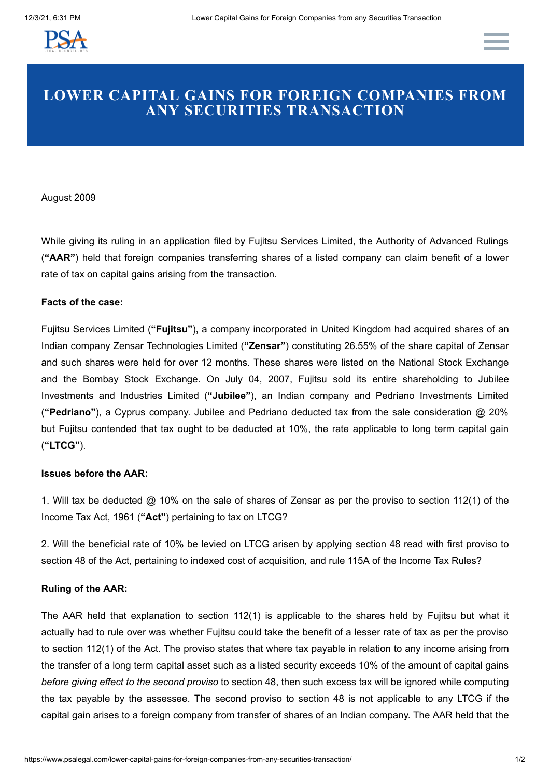

# **LOWER CAPITAL GAINS FOR FOREIGN COMPANIES FROM ANY SECURITIES TRANSACTION**

### August 2009

While giving its ruling in an application filed by Fujitsu Services Limited, the Authority of Advanced Rulings (**"AAR"**) held that foreign companies transferring shares of a listed company can claim benefit of a lower rate of tax on capital gains arising from the transaction.

### **Facts of the case:**

Fujitsu Services Limited (**"Fujitsu"**), a company incorporated in United Kingdom had acquired shares of an Indian company Zensar Technologies Limited (**"Zensar"**) constituting 26.55% of the share capital of Zensar and such shares were held for over 12 months. These shares were listed on the National Stock Exchange and the Bombay Stock Exchange. On July 04, 2007, Fujitsu sold its entire shareholding to Jubilee Investments and Industries Limited (**"Jubilee"**), an Indian company and Pedriano Investments Limited (**"Pedriano"**), a Cyprus company. Jubilee and Pedriano deducted tax from the sale consideration @ 20% but Fujitsu contended that tax ought to be deducted at 10%, the rate applicable to long term capital gain (**"LTCG"**).

## **Issues before the AAR:**

1. Will tax be deducted @ 10% on the sale of shares of Zensar as per the proviso to section 112(1) of the Income Tax Act, 1961 (**"Act"**) pertaining to tax on LTCG?

2. Will the beneficial rate of 10% be levied on LTCG arisen by applying section 48 read with first proviso to section 48 of the Act, pertaining to indexed cost of acquisition, and rule 115A of the Income Tax Rules?

## **Ruling of the AAR:**

The AAR held that explanation to section 112(1) is applicable to the shares held by Fujitsu but what it actually had to rule over was whether Fujitsu could take the benefit of a lesser rate of tax as per the proviso to section 112(1) of the Act. The proviso states that where tax payable in relation to any income arising from the transfer of a long term capital asset such as a listed security exceeds 10% of the amount of capital gains *before giving effect to the second proviso* to section 48, then such excess tax will be ignored while computing the tax payable by the assessee. The second proviso to section 48 is not applicable to any LTCG if the capital gain arises to a foreign company from transfer of shares of an Indian company. The AAR held that the